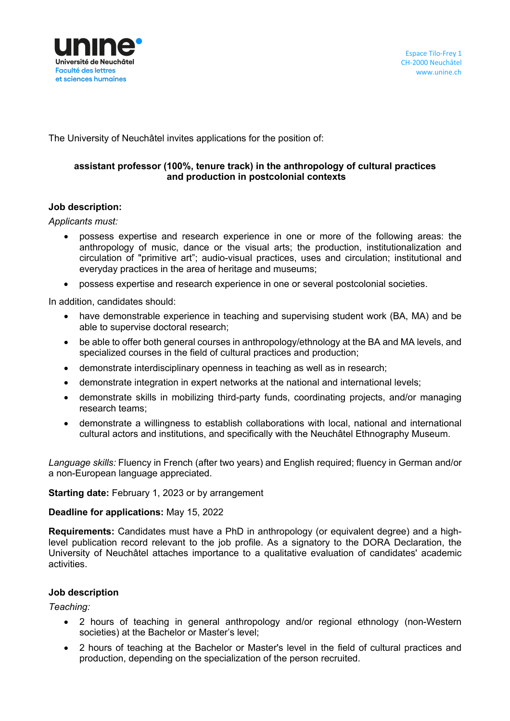

The University of Neuchâtel invites applications for the position of:

## **assistant professor (100%, tenure track) in the anthropology of cultural practices and production in postcolonial contexts**

#### **Job description:**

*Applicants must:* 

- possess expertise and research experience in one or more of the following areas: the anthropology of music, dance or the visual arts; the production, institutionalization and circulation of "primitive art"; audio-visual practices, uses and circulation; institutional and everyday practices in the area of heritage and museums;
- possess expertise and research experience in one or several postcolonial societies.

In addition, candidates should:

- have demonstrable experience in teaching and supervising student work (BA, MA) and be able to supervise doctoral research;
- be able to offer both general courses in anthropology/ethnology at the BA and MA levels, and specialized courses in the field of cultural practices and production;
- demonstrate interdisciplinary openness in teaching as well as in research;
- demonstrate integration in expert networks at the national and international levels;
- demonstrate skills in mobilizing third-party funds, coordinating projects, and/or managing research teams;
- demonstrate a willingness to establish collaborations with local, national and international cultural actors and institutions, and specifically with the Neuchâtel Ethnography Museum.

*Language skills:* Fluency in French (after two years) and English required; fluency in German and/or a non-European language appreciated.

#### **Starting date:** February 1, 2023 or by arrangement

#### **Deadline for applications:** May 15, 2022

**Requirements:** Candidates must have a PhD in anthropology (or equivalent degree) and a highlevel publication record relevant to the job profile. As a signatory to the DORA Declaration, the University of Neuchâtel attaches importance to a qualitative evaluation of candidates' academic activities.

## **Job description**

*Teaching:*

- 2 hours of teaching in general anthropology and/or regional ethnology (non-Western societies) at the Bachelor or Master's level;
- 2 hours of teaching at the Bachelor or Master's level in the field of cultural practices and production, depending on the specialization of the person recruited.